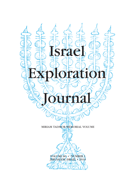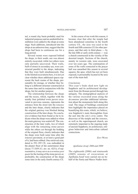nel, a round clay basin probably used for industrial purposes and an unidentified installation were added to the shops at some stage. Such additions, introduced into the shops at an unknown time, suggest that the shops had been in continuous use for a long period.

Several rooms were exposed behind the shops, to their south; one was almost entirely excavated, while two others were only partially uncovered. Their walls, built of stones in secondary use, were constructed parallel to the shops, indicating that they were built simultaneously. Due to the limited excavations here, it is not yet clear whether these additional spaces represent the back rooms of the shops, presumably for storage, or whether they belong to a different structure constructed at the same time and in conjunction with the shops, but for another purpose.

The relationship between the shops and the recess, which, together with the nearby four polished worn pavers excavated in previous seasons, represents the entrance from the street into the *temenos* and the later shops, clearly indicates that the original gateway was blocked during construction of the later shops. No conclusive evidence has been found so far to indicate when the shops were added or when the main gateway was sealed off. The construction of the later walls, two of which align with the remaining stone pavers while the others cut through the bedding of the original floor, clearly indicates that the shops were built some time after the *temenos* pavement, or at least a good part of it, had been robbed. One retrieved coin, dated to 291–295 CE, was embedded in the plaster floor of the easternmost shop (locus 77.1859.1C; inv. no. 4251); if representative, it may serve as a *terminus post quem* for the looting of the stone pavers or, preferably, the construction of the shops some time in the early fourth century CE.

In the course of our work this season, it became clear that after the temple had been abandoned sometime in the fourth century CE., the area was used in the fourth and fifth centuries CE for other purposes, and that only in third phase — by the late fifth or early sixth century — was a church constructed in the vicinity of the deserted temple. Sections of the church, mainly its western side, were excavated over ten years ago. The continuation of some of the walls connected to the prayer hall was unearthed this season in several squares; the apse, which has not yet been exposed, is presumably located in the area east of the main hall.

#### *Conclusions*

This year 's finds shed new light on Sepphoris and its architectural development from the Roman period through late antiquity. The stratigraphical analysis of the various excavated areas along the *decumanus* provides additional information about the monuments built along this road. The range of buildings constructed here highlights the importance placed on beautifying this route, which, we believe, was Sepphoris's main thoroughfare from the east into the city's civic centre. The discovery of the temple and the *temenos*, as well as the superimposed church, are extremely important to the ongoing study of ancient Sepphoris, its architecture, religious behaviour and intra-urban cultural connections.

ZEEV WEISS

### *Apollonia-Arsuf, 2006 and 2009*

The eighteenth (2006) and nineteenth (2009) seasons of excavations at Apollonia-Arsuf were carried out on behalf of the Sonia and Marco Nadler Insti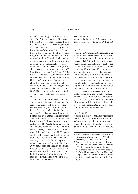tute of Archaeology of Tel Aviv University. The 2006 excavations (7 August– 8 September) were jointly directed by I. Roll and O. Tal. The 2009 excavations (5 July–7 August), directed by O. Tal, formed part of a National Science Foundation (USA) grant titled 'III-CXT-Core Large: Computer Vision Research: Promoting Paradigm Shifts in Archaeology', which is dedicated to the documentation of the site excavations, archaeological remains and finds by means of digital archaeology methods that began in 2007 (see Galor, Roll and Tal 2009: 14–23). Both seasons were a collaborative effort between Tel Aviv University and Brown University's Joukowsky Institute for Archaeology and the Ancient World (K. Galor; 2006) and Division of Engineering (D.B. Cooper, B.B. Kimia and G. Taubin; 2007, 2009), and served as a study dig for Tel Aviv University undergraduate students.

There were 50 participants in each season, including students and local and foreign volunteers. Staff members were: T. Harpak (registrar); M. Edrey, K. Galor, N. Lecet, G. Lerner and N. Reshef (area supervisors); I. Shachar (coordinator); U. Birman and D. Shachar (administrators). The team also included: B. Arubas, D. Porotsky and S. Pirsky (surveying and drafting); and S. Pavel (photography). The excavations, conducted in the Apollonia National Park, received the full cooperation of the park's director, H. Yohanan, and his staff. Foreign staff and volunteers were housed at the Tadmor Hotel (Herzliya). Finance for the Apollonia-Arsuf Excavations Project in 2006 and 2009 came from the Faculty of Humanities of Tel Aviv University, Brown University, the Israel Nature and National Parks Protection Authority and the German-Israeli Foundation for Scientific Research and Development.

## *The Excavations*

Work in the 2006 and 2009 seasons was conducted in Areas F, L, M, O, P and R  $(f_1g_1)$ .<sup>1</sup>

## *Area F*

Work in the Crusader castle resumed after a hiatus since 2000.2 Excavations focused on the western part of the castle, on top of the coastal cliff, in order to expose subterranean complexes and remove part of the dirt load from the cliff in order to facilitate better rainfall drainage. Work in this area was intended to slow down the disintegration of the coastal cliff and the architectural remains of the Crusader castle by preparing a system of better drainage of rainfall water off the castle, supplementing the newly-built sea wall at the foot of the castle. The excavations uncovered parts of the castle's western façade and a subterranean hall, not yet fully exposed. Evidence was found for post-destruction (1265 CE) occupation — some elements of architectural decoration of the castle were found incorporated in later walls, built across the subterranean hall.

### *Area L* (fig. 2)

Work in this area was previously restricted to the uncovering of the fosse of the Crusader walled town in the south-eastern corner by means of mechanical tools. Since it is apparent that the Crusaders

<sup>1</sup> For a summary of the main discoveries of 17 seasons of excavations (1977–2004), see Galor, Roll and Tal 2009: 4–14.

<sup>2</sup> Past excavations in the castle led to the declaration of the site as a national park in 2001, its recognition as one of the hundred most endangered world heritage sites by the World Monuments Fund in 2004, and its appearance in the tentative list of world heritage Crusader castles by UNESCO in 2006.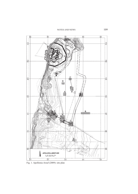NOTES AND NEWS 109



Fig. 1. Apollonia-Arsuf (2009): site plan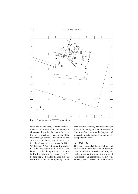

Fig. 2. Apollonia-Arsuf (2009): plan of Area L

made use of the Early Islamic fortifications, in addition to building their own, the aim was to determine the relation between the two fortification systems in one of the most strategic points — the south-eastern corner tower. Excavations have shown that the Crusader corner tower (W7201, W7205 and W7224) flanked the earlier Early Islamic corner wall (W7208). The latter is easily distinguishable as it was built differently with a plaster 'glacis' at its base (fig. 2). Both fortification systems were in fact constructed upon Byzantine

architectural remains, demonstrating yet again that the Byzantine settlement of Apollonia/Sozousa was the largest (and apparently most populated) throughout its occupational history.

# *Area M* (fig. 3)

This area is located at the far southern end of the site, beyond the Roman peristyle villa (Area E) and the ravine enclosing the medieval walled town and to the west of the Mizpeh-Yam correctional facility (fig. 1). The goal of the excavations here was to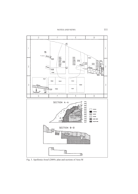NOTES AND NEWS 111



Fig. 3. Apollonia-Arsuf (2009): plan and sections of Area M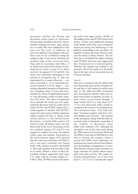determine whether the Roman and Byzantine urban centre of Apollonia/ Sozousa had extended to this area. Due to modern building activities, large quantities of sandy fills were bulldozed to this area over the years. In addition, an east–west pathway descending to the seashore was cut by a bulldozer along the southern edge of the ravine (forming the northern edge of the excavated area). Thus, prior to excavation, later fills (*c*. 4 m. thick) were removed by means of a mechanical tool down to some 32 m. above sea-level. In squares F2, E2 and D2, two strata were identified, belonging to two periods of occupation (fig. 3). One was represented by a round refuse pit — entirely excavated (*c*. 12 m. maximum preserved diameter; 4.50 m. deep) — containing substantial amounts of broken pottery (weighing some 15 tons) that accumulated in a series of superimposed layers in Late Byzantine (sixth–seventh centuries CE) times. The other occupational level, beneath the refuse pit, was represented by the lower end of a corner of two walls (W7055 and W7058; square D2), a small segment of another wall (W7051; square E2) and a series of fallen sandstone ashlars (square F2) (fig. 3). Much of the related pottery is Late Roman/Early Byzantine. A fourth–fifth-century CE hoard of some 40 bronze coins was also discovered in this level. Excavation in the two northern squares (F3 and E3) was stopped at a higher level once the natural yellow sand was reached. Excavation in the south-western square (G3) showed that the wall uncovered there (W7004) is just a one-layer retaining wall facing north, with a surface of *hamra* soil behind it. This wall, together with two other walls to its north, formed a series of three descending terraces, apparently built some 4 m. apart with an average height of *c*. 0.40 m. Thus, W7004 served as the retaining wall of the upper terrace, W7063 of the middle terrace and W7054 of the lower terrace. If there were additional retaining walls further north, they were completely destroyed during the bulldozing of the pathway descending to the sea-shore. No tangible evidence has been found to indicate the nature of these terraces. The fertile *hamra* soil behind the upper retaining wall (W7004), however, may suggest that they formed part of a terraced garden. Whether this garden was related to the peristyle villa to the north or to the buildings in the east, not yet excavated, has not yet been clarified.

### *Area O*

This area is located at the far north of the site, beyond the fosse of the Crusader castle and that of the medieval walled town (fig. 1). The 2006 and 2009 excavations here investigated whether there was indeed extra-mural occupation in Early Islamic times, as previously thought. A large mosaic floor of a wine press (9.8× 7.5 m.) was uncovered, with a Greek inscription in the center of its treading floor. The inscription reads: 'One God only, help / Cassianos together with (his) wife / and children and everyone'. The formula of the inscription, along with the finds uncovered, point to Samaritan ownership of the complex in Byzantine times (fifth–sixth centuries CE). Although the inscription was in fact uncovered during the 2006 season of excavations (Roll and Tal 2008), it was only in 2009 that we were able to identify the complex which it served (Tal 2009). Such dedicatory inscriptions are mostly known from Samaritan cult buildings (synagogues); it is possible that the wine press may form part of a larger structure of a public nature associated with cultic activity. The round collecting (fermentation) vat of the wine press (*c*. 3×2.2.5 m.) is among the largest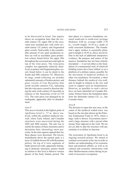to be discovered in Israel. Our inquiry shows no occupation later than the seventh century CE; upper fills in the excavated area included pits with sixth–seventh-century CE pottery and fragmented glass vessels. Noteworthy is the considerable amount of raw glass production refuse (as well as secondary glass production refuse) found below the upper fills throughout the excavated area and right on top of the wine press. The wine-press complex was apparently relatively shortlived, as pottery and fragmented glass vessels found below it can be dated to the fourth and fifth centuries CE. Moreover, its large, round collecting vat includes substantial amounts of broken pottery and glass vessels of Late Byzantine date (sixth–seventh centuries CE), indicating that the wine press ceased to function during the early sixth century CE (possibly in relation to the Samaritan revolt of 529 CE). The wine press was damaged by an earthquake, apparently after its abandonment.

#### *Area P*

This area is located at the highest point of Apollonia-Arsuf (*c*. 37 m. above sealevel), within the southern medieval citywall, where Early Islamic and Crusader structures were uncovered during the 2003 and 2004 seasons. The aim was to clarify the nature of these structures and to determine their chronology more precisely. In the nine squares opened thus far, three phases were discerned. The lowest, immediately above the natural sand, is a layer of reddish-brown fill with Byzantine pottery. On top of it were segments of badly preserved walls, apparently belonging to domestic structures; pottery found in relation to this level is dated to various phases of the Early Islamic period. The

later phase is a massive foundation, oriented south-east to north-west (average thickness: 0.60 m.; average width: 2.70 m.; overall length: 16.50 m.), made of solid concreted fieldstones. The foundation's upper surface is essentially plain, and its height is 34.93 m. above sea-level. Due to the lack of additional interpretive evidence, the purpose and nature of the massive foundation has not been entirely elucidated — it served either as the foundation of a monumental wall, of which all building stones have been robbed, or as a platform of a military nature, possibly for the movement of medieval artillery or other war machinery. Its location, a short distance behind the medieval city-wall, and its height in relation to the city wall seem to support such an interpretation. However, no parallels to such a device have yet been identified in Crusader Palestine. Pottery below the foundation dates from the thirteenth century CE, i.e., late Crusader times.

# *Area R*

The decision to open this new area, in the centre of the medieval walled town, was based on the site plan drawn up the Palestine Exploration Fund in 1874, where a large vault is shown. Excavations uncovered a large structure with a paved white mosaic floor adjacent to the vault. We are not yet able to date the structure with any certainty or to define its function.

The excavation of Apollonia-Arsuf is an ongoing research project. We intend to continue excavations at the site in order to further our understanding of its economic basis and political affinity, as well as its cultural and economic interactions with other Mediterranean centres during its periods of successive occupation.